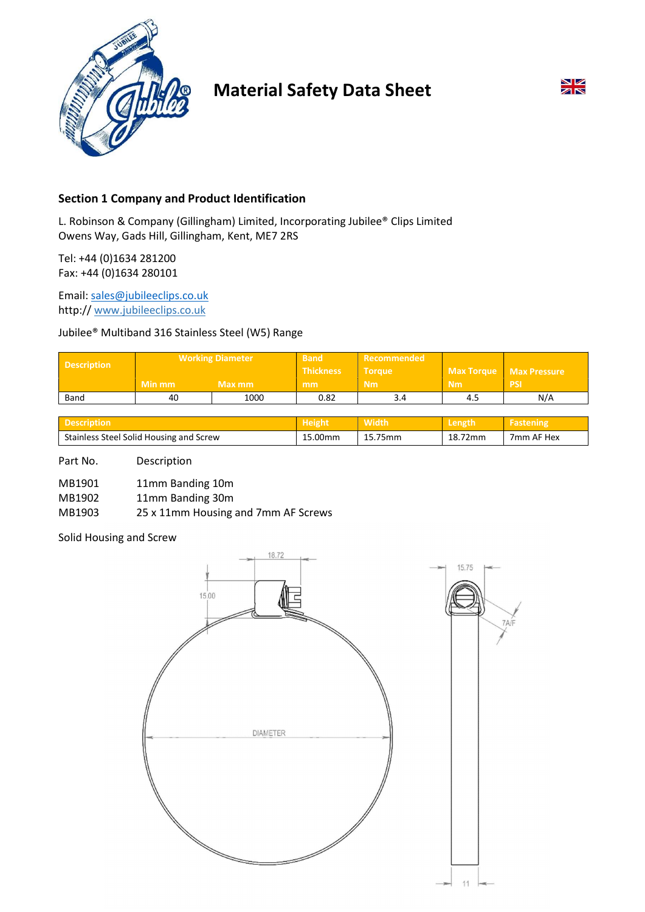

# Material Safety Data Sheet



# Section 1 Company and Product Identification

L. Robinson & Company (Gillingham) Limited, Incorporating Jubilee® Clips Limited Owens Way, Gads Hill, Gillingham, Kent, ME7 2RS

Tel: +44 (0)1634 281200 Fax: +44 (0)1634 280101

Email: sales@jubileeclips.co.uk http:// www.jubileeclips.co.uk

## Jubilee® Multiband 316 Stainless Steel (W5) Range

| Description | <b>Working Diameter</b> |        | <b>Band</b><br><b>Thickness</b> | Recommended<br><b>Torque</b> |           | Max Torque   Max Pressure |
|-------------|-------------------------|--------|---------------------------------|------------------------------|-----------|---------------------------|
|             | Min mm                  | Max mm | mm                              | <b>Nm</b>                    | <b>Nm</b> | <b>PSI)</b> ا             |
| Band        | 40                      | 1000   | 0.82                            | 3.4                          | 4.5       | N/A                       |

|                                         | пекш    |         |         |            |
|-----------------------------------------|---------|---------|---------|------------|
| Stainless Steel Solid Housing and Screw | 15.00mm | 15.75mm | 18.72mm | 7mm AF Hex |

Part No. Description

| MB1901 | 11mm Banding 10m |
|--------|------------------|
|--------|------------------|

MB1902 11mm Banding 30m

MB1903 25 x 11mm Housing and 7mm AF Screws

Solid Housing and Screw

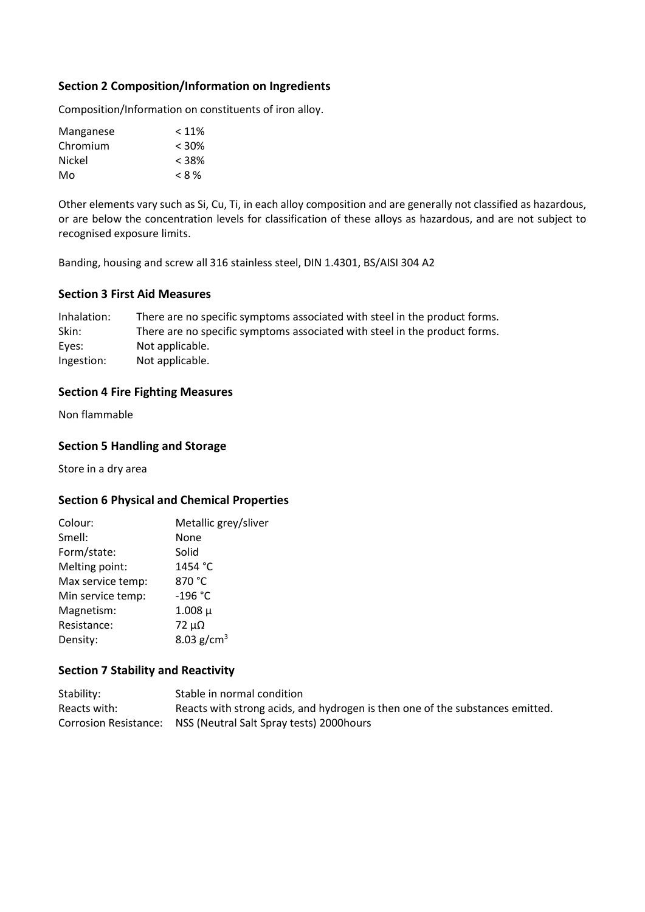## Section 2 Composition/Information on Ingredients

Composition/Information on constituents of iron alloy.

| < 11%    |
|----------|
| $< 30\%$ |
| $< 38\%$ |
| $< 8\%$  |
|          |

Other elements vary such as Si, Cu, Ti, in each alloy composition and are generally not classified as hazardous, or are below the concentration levels for classification of these alloys as hazardous, and are not subject to recognised exposure limits.

Banding, housing and screw all 316 stainless steel, DIN 1.4301, BS/AISI 304 A2

## Section 3 First Aid Measures

Inhalation: There are no specific symptoms associated with steel in the product forms. Skin: There are no specific symptoms associated with steel in the product forms. Eyes: Not applicable. Ingestion: Not applicable.

## Section 4 Fire Fighting Measures

Non flammable

## Section 5 Handling and Storage

Store in a dry area

## Section 6 Physical and Chemical Properties

| Metallic grey/sliver |
|----------------------|
| None                 |
| Solid                |
| 1454 °C              |
| 870 °C               |
| -196 °C              |
| $1.008 \mu$          |
| $72 \mu\Omega$       |
| 8.03 $g/cm^{3}$      |
|                      |

## Section 7 Stability and Reactivity

| Stability:   | Stable in normal condition                                                    |
|--------------|-------------------------------------------------------------------------------|
| Reacts with: | Reacts with strong acids, and hydrogen is then one of the substances emitted. |
|              | Corrosion Resistance: NSS (Neutral Salt Spray tests) 2000 hours               |